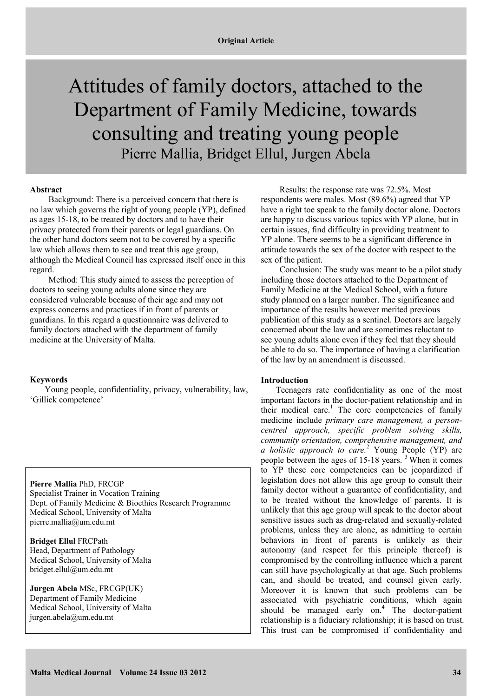# Attitudes of family doctors, attached to the Department of Family Medicine, towards consulting and treating young people Pierre Mallia, Bridget Ellul, Jurgen Abela

# **Abstract**

Background: There is a perceived concern that there is no law which governs the right of young people (YP), defined as ages 15-18, to be treated by doctors and to have their privacy protected from their parents or legal guardians. On the other hand doctors seem not to be covered by a specific law which allows them to see and treat this age group, although the Medical Council has expressed itself once in this regard.

Method: This study aimed to assess the perception of doctors to seeing young adults alone since they are considered vulnerable because of their age and may not express concerns and practices if in front of parents or guardians. In this regard a questionnaire was delivered to family doctors attached with the department of family medicine at the University of Malta.

## **Keywords**

Young people, confidentiality, privacy, vulnerability, law, 'Gillick competence'

**Pierre Mallia** PhD, FRCGP Specialist Trainer in Vocation Training Dept. of Family Medicine & Bioethics Research Programme Medical School, University of Malta pierre.mallia@um.edu.mt

**Bridget Ellul** FRCPath Head, Department of Pathology Medical School, University of Malta bridget.ellul@um.edu.mt

**Jurgen Abela** MSc, FRCGP(UK) Department of Family Medicine Medical School, University of Malta jurgen.abela@um.edu.mt

Results: the response rate was 72.5%. Most respondents were males. Most (89.6%) agreed that YP have a right toe speak to the family doctor alone. Doctors are happy to discuss various topics with YP alone, but in certain issues, find difficulty in providing treatment to YP alone. There seems to be a significant difference in attitude towards the sex of the doctor with respect to the sex of the patient.

Conclusion: The study was meant to be a pilot study including those doctors attached to the Department of Family Medicine at the Medical School, with a future study planned on a larger number. The significance and importance of the results however merited previous publication of this study as a sentinel. Doctors are largely concerned about the law and are sometimes reluctant to see young adults alone even if they feel that they should be able to do so. The importance of having a clarification of the law by an amendment is discussed.

## **Introduction**

Teenagers rate confidentiality as one of the most important factors in the doctor-patient relationship and in their medical care. 1 The core competencies of family medicine include *primary care management, a personcentred approach, specific problem solving skills, community orientation, comprehensive management, and a holistic approach to care.*<sup>2</sup> Young People (YP) are people between the ages of  $15-18$  years.<sup>3</sup> When it comes to YP these core competencies can be jeopardized if legislation does not allow this age group to consult their family doctor without a guarantee of confidentiality, and to be treated without the knowledge of parents. It is unlikely that this age group will speak to the doctor about sensitive issues such as drug-related and sexually-related problems, unless they are alone, as admitting to certain behaviors in front of parents is unlikely as their autonomy (and respect for this principle thereof) is compromised by the controlling influence which a parent can still have psychologically at that age. Such problems can, and should be treated, and counsel given early. Moreover it is known that such problems can be associated with psychiatric conditions, which again should be managed early on.<sup>4</sup> The doctor-patient relationship is a fiduciary relationship; it is based on trust. This trust can be compromised if confidentiality and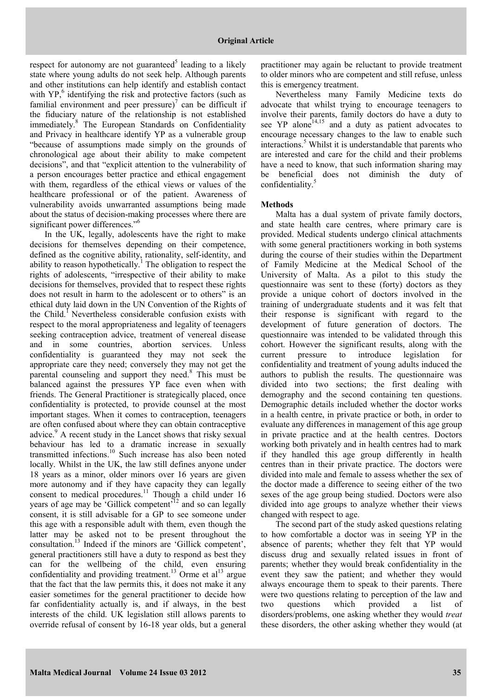respect for autonomy are not guaranteed<sup>5</sup> leading to a likely state where young adults do not seek help. Although parents and other institutions can help identify and establish contact with  $YP<sub>1</sub><sup>6</sup>$  identifying the risk and protective factors (such as familial environment and peer pressure)<sup>7</sup> can be difficult if the fiduciary nature of the relationship is not established immediately.<sup>8</sup> The European Standards on Confidentiality and Privacy in healthcare identify YP as a vulnerable group "because of assumptions made simply on the grounds of chronological age about their ability to make competent decisions", and that "explicit attention to the vulnerability of a person encourages better practice and ethical engagement with them, regardless of the ethical views or values of the healthcare professional or of the patient. Awareness of vulnerability avoids unwarranted assumptions being made about the status of decision-making processes where there are significant power differences."<sup>6</sup>

In the UK, legally, adolescents have the right to make decisions for themselves depending on their competence, defined as the cognitive ability, rationality, self-identity, and ability to reason hypothetically.<sup>1</sup> The obligation to respect the rights of adolescents, "irrespective of their ability to make decisions for themselves, provided that to respect these rights does not result in harm to the adolescent or to others" is an ethical duty laid down in the UN Convention of the Rights of the Child.<sup>1</sup> Nevertheless considerable confusion exists with respect to the moral appropriateness and legality of teenagers seeking contraception advice, treatment of venereal disease and in some countries, abortion services. Unless confidentiality is guaranteed they may not seek the appropriate care they need; conversely they may not get the parental counseling and support they need.<sup>8</sup> This must be balanced against the pressures YP face even when with friends. The General Practitioner is strategically placed, once confidentiality is protected, to provide counsel at the most important stages. When it comes to contraception, teenagers are often confused about where they can obtain contraceptive advice.<sup>9</sup> A recent study in the Lancet shows that risky sexual behaviour has led to a dramatic increase in sexually transmitted infections.<sup>10</sup> Such increase has also been noted locally. Whilst in the UK, the law still defines anyone under 18 years as a minor, older minors over 16 years are given more autonomy and if they have capacity they can legally consent to medical procedures.<sup>11</sup> Though a child under  $16$ years of age may be 'Gillick competent'<sup>12</sup> and so can legally consent, it is still advisable for a GP to see someone under this age with a responsible adult with them, even though the latter may be asked not to be present throughout the consultation.<sup>13</sup> Indeed if the minors are 'Gillick competent', general practitioners still have a duty to respond as best they can for the wellbeing of the child, even ensuring confidentiality and providing treatment.<sup>13</sup> Orme et al<sup>13</sup> argue that the fact that the law permits this, it does not make it any easier sometimes for the general practitioner to decide how far confidentiality actually is, and if always, in the best interests of the child. UK legislation still allows parents to override refusal of consent by 16-18 year olds, but a general

practitioner may again be reluctant to provide treatment to older minors who are competent and still refuse, unless this is emergency treatment.

Nevertheless many Family Medicine texts do advocate that whilst trying to encourage teenagers to involve their parents, family doctors do have a duty to see  $YP$  alone<sup>14,15</sup> and a duty as patient advocates to encourage necessary changes to the law to enable such interactions.<sup>5</sup> Whilst it is understandable that parents who are interested and care for the child and their problems have a need to know, that such information sharing may be beneficial does not diminish the duty of confidentiality.<sup>5</sup>

# **Methods**

Malta has a dual system of private family doctors, and state health care centres, where primary care is provided. Medical students undergo clinical attachments with some general practitioners working in both systems during the course of their studies within the Department of Family Medicine at the Medical School of the University of Malta. As a pilot to this study the questionnaire was sent to these (forty) doctors as they provide a unique cohort of doctors involved in the training of undergraduate students and it was felt that their response is significant with regard to the development of future generation of doctors. The questionnaire was intended to be validated through this cohort. However the significant results, along with the current pressure to introduce legislation for confidentiality and treatment of young adults induced the authors to publish the results. The questionnaire was divided into two sections; the first dealing with demography and the second containing ten questions. Demographic details included whether the doctor works in a health centre, in private practice or both, in order to evaluate any differences in management of this age group in private practice and at the health centres. Doctors working both privately and in health centres had to mark if they handled this age group differently in health centres than in their private practice. The doctors were divided into male and female to assess whether the sex of the doctor made a difference to seeing either of the two sexes of the age group being studied. Doctors were also divided into age groups to analyze whether their views changed with respect to age.

The second part of the study asked questions relating to how comfortable a doctor was in seeing YP in the absence of parents; whether they felt that YP would discuss drug and sexually related issues in front of parents; whether they would break confidentiality in the event they saw the patient; and whether they would always encourage them to speak to their parents. There were two questions relating to perception of the law and two questions which provided a list of disorders/problems, one asking whether they would *treat* these disorders, the other asking whether they would (at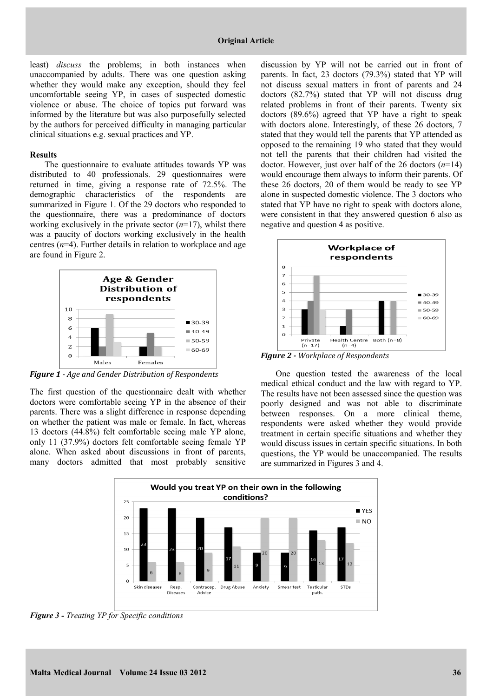least) *discuss* the problems; in both instances when unaccompanied by adults. There was one question asking whether they would make any exception, should they feel uncomfortable seeing YP, in cases of suspected domestic violence or abuse. The choice of topics put forward was informed by the literature but was also purposefully selected by the authors for perceived difficulty in managing particular clinical situations e.g. sexual practices and YP.

#### **Results**

The questionnaire to evaluate attitudes towards YP was distributed to 40 professionals. 29 questionnaires were returned in time, giving a response rate of 72.5%. The demographic characteristics of the respondents are summarized in Figure 1. Of the 29 doctors who responded to the questionnaire, there was a predominance of doctors working exclusively in the private sector (*n*=17), whilst there was a paucity of doctors working exclusively in the health centres  $(n=4)$ . Further details in relation to workplace and age are found in Figure 2.



*Figure 1 - Age and Gender Distribution of Respondents*

The first question of the questionnaire dealt with whether doctors were comfortable seeing YP in the absence of their parents. There was a slight difference in response depending on whether the patient was male or female. In fact, whereas 13 doctors (44.8%) felt comfortable seeing male YP alone, only 11 (37.9%) doctors felt comfortable seeing female YP alone. When asked about discussions in front of parents, many doctors admitted that most probably sensitive

discussion by YP will not be carried out in front of parents. In fact, 23 doctors (79.3%) stated that YP will not discuss sexual matters in front of parents and 24 doctors (82.7%) stated that YP will not discuss drug related problems in front of their parents. Twenty six doctors (89.6%) agreed that YP have a right to speak with doctors alone. Interestingly, of these 26 doctors, 7 stated that they would tell the parents that YP attended as opposed to the remaining 19 who stated that they would not tell the parents that their children had visited the doctor. However, just over half of the 26 doctors (*n*=14) would encourage them always to inform their parents. Of these 26 doctors, 20 of them would be ready to see YP alone in suspected domestic violence. The 3 doctors who stated that YP have no right to speak with doctors alone, were consistent in that they answered question 6 also as negative and question 4 as positive.



*Figure 2 - Workplace of Respondents*

One question tested the awareness of the local medical ethical conduct and the law with regard to YP. The results have not been assessed since the question was poorly designed and was not able to discriminate between responses. On a more clinical theme, respondents were asked whether they would provide treatment in certain specific situations and whether they would discuss issues in certain specific situations. In both questions, the YP would be unaccompanied. The results are summarized in Figures 3 and 4.



*Figure 3 - Treating YP for Specific conditions*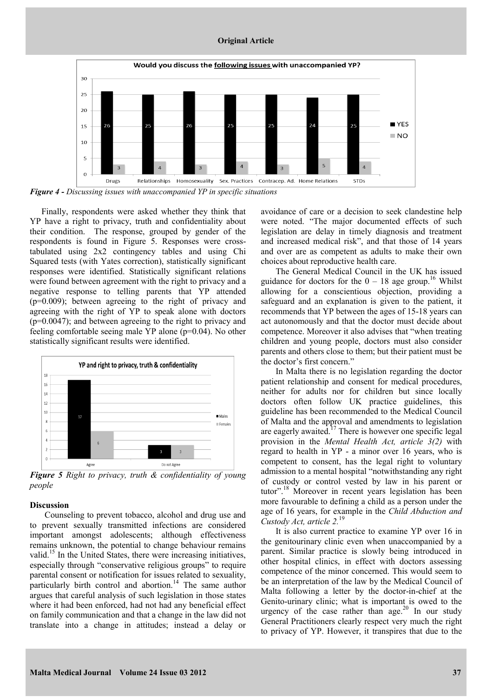#### **Original Article**



*Figure 4 - Discussing issues with unaccompanied YP in specific situations*

Finally, respondents were asked whether they think that YP have a right to privacy, truth and confidentiality about their condition. The response, grouped by gender of the respondents is found in Figure 5. Responses were crosstabulated using 2x2 contingency tables and using Chi Squared tests (with Yates correction), statistically significant responses were identified. Statistically significant relations were found between agreement with the right to privacy and a negative response to telling parents that YP attended (p=0.009); between agreeing to the right of privacy and agreeing with the right of YP to speak alone with doctors (p=0.0047); and between agreeing to the right to privacy and feeling comfortable seeing male YP alone (p=0.04). No other statistically significant results were identified.



*Figure 5 Right to privacy, truth & confidentiality of young people*

# **Discussion**

Counseling to prevent tobacco, alcohol and drug use and to prevent sexually transmitted infections are considered important amongst adolescents; although effectiveness remains unknown, the potential to change behaviour remains valid.<sup>15</sup> In the United States, there were increasing initiatives, especially through "conservative religious groups" to require parental consent or notification for issues related to sexuality, particularly birth control and abortion.<sup>14</sup> The same author argues that careful analysis of such legislation in those states where it had been enforced, had not had any beneficial effect on family communication and that a change in the law did not translate into a change in attitudes; instead a delay or

avoidance of care or a decision to seek clandestine help were noted. "The major documented effects of such legislation are delay in timely diagnosis and treatment and increased medical risk", and that those of 14 years and over are as competent as adults to make their own choices about reproductive health care.

The General Medical Council in the UK has issued guidance for doctors for the  $0 - 18$  age group.<sup>16</sup> Whilst allowing for a conscientious objection, providing a safeguard and an explanation is given to the patient, it recommends that YP between the ages of 15-18 years can act autonomously and that the doctor must decide about competence. Moreover it also advises that "when treating children and young people, doctors must also consider parents and others close to them; but their patient must be the doctor's first concern."

In Malta there is no legislation regarding the doctor patient relationship and consent for medical procedures, neither for adults nor for children but since locally doctors often follow UK practice guidelines, this guideline has been recommended to the Medical Council of Malta and the approval and amendments to legislation are eagerly awaited.<sup>17</sup> There is however one specific legal provision in the *Mental Health Act, article 3(2)* with regard to health in YP - a minor over 16 years, who is competent to consent, has the legal right to voluntary admission to a mental hospital "notwithstanding any right of custody or control vested by law in his parent or tutor".<sup>18</sup> Moreover in recent years legislation has been more favourable to defining a child as a person under the age of 16 years, for example in the *Child Abduction and Custody Act, article 2.*<sup>19</sup>

It is also current practice to examine YP over 16 in the genitourinary clinic even when unaccompanied by a parent. Similar practice is slowly being introduced in other hospital clinics, in effect with doctors assessing competence of the minor concerned. This would seem to be an interpretation of the law by the Medical Council of Malta following a letter by the doctor-in-chief at the Genito-urinary clinic; what is important is owed to the urgency of the case rather than age.<sup>20</sup> In our study General Practitioners clearly respect very much the right to privacy of YP. However, it transpires that due to the